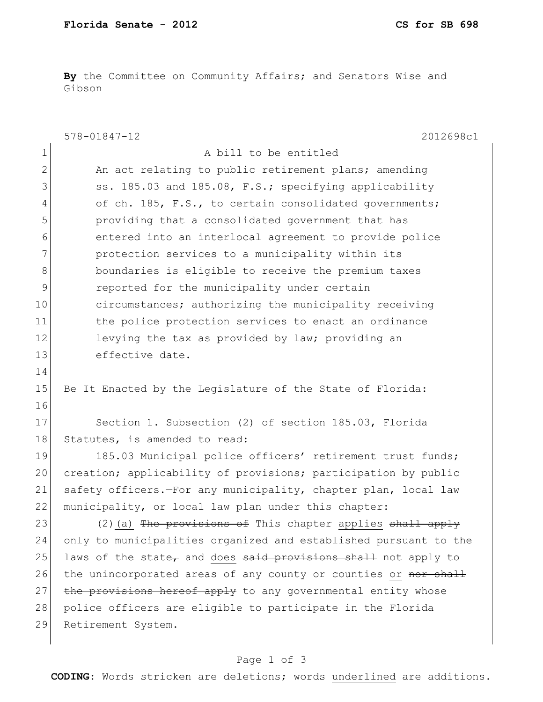**By** the Committee on Community Affairs; and Senators Wise and Gibson

|              | $578 - 01847 - 12$<br>2012698c1                                            |
|--------------|----------------------------------------------------------------------------|
| 1            | A bill to be entitled                                                      |
| $\mathbf{2}$ | An act relating to public retirement plans; amending                       |
| 3            | ss. 185.03 and 185.08, F.S.; specifying applicability                      |
| 4            | of ch. 185, F.S., to certain consolidated governments;                     |
| 5            | providing that a consolidated government that has                          |
| 6            | entered into an interlocal agreement to provide police                     |
| 7            | protection services to a municipality within its                           |
| 8            | boundaries is eligible to receive the premium taxes                        |
| 9            | reported for the municipality under certain                                |
| 10           | circumstances; authorizing the municipality receiving                      |
| 11           | the police protection services to enact an ordinance                       |
| 12           | levying the tax as provided by law; providing an                           |
| 13           | effective date.                                                            |
| 14           |                                                                            |
| 15           | Be It Enacted by the Legislature of the State of Florida:                  |
| 16           |                                                                            |
| 17           | Section 1. Subsection (2) of section 185.03, Florida                       |
| 18           | Statutes, is amended to read:                                              |
| 19           | 185.03 Municipal police officers' retirement trust funds;                  |
| 20           | creation; applicability of provisions; participation by public             |
| 21           | safety officers.-For any municipality, chapter plan, local law             |
| 22           | municipality, or local law plan under this chapter:                        |
| 23           | (2) (a) The provisions of This chapter applies shall apply                 |
| 24           | only to municipalities organized and established pursuant to the           |
| 25           | laws of the state <del>,</del> and does said provisions shall not apply to |
| 26           | the unincorporated areas of any county or counties or nor shall            |
| 27           | the provisions hereof apply to any governmental entity whose               |
| 28           | police officers are eligible to participate in the Florida                 |
| 29           | Retirement System.                                                         |
|              |                                                                            |

## Page 1 of 3

**CODING**: Words stricken are deletions; words underlined are additions.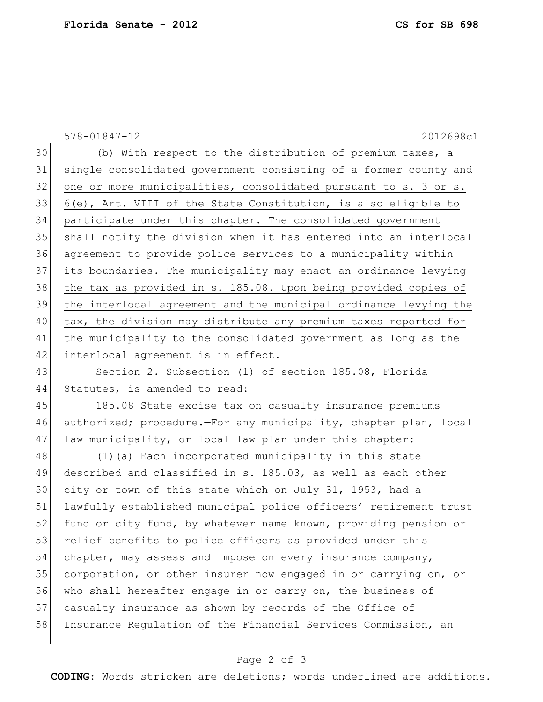578-01847-12 2012698c1 30 (b) With respect to the distribution of premium taxes, a 31 single consolidated government consisting of a former county and 32 one or more municipalities, consolidated pursuant to s. 3 or s. 33 6(e), Art. VIII of the State Constitution, is also eligible to 34 participate under this chapter. The consolidated government 35 Shall notify the division when it has entered into an interlocal 36 agreement to provide police services to a municipality within 37 its boundaries. The municipality may enact an ordinance levying 38 the tax as provided in s. 185.08. Upon being provided copies of 39 the interlocal agreement and the municipal ordinance levying the 40 tax, the division may distribute any premium taxes reported for 41 | the municipality to the consolidated government as long as the 42 interlocal agreement is in effect. 43 Section 2. Subsection (1) of section 185.08, Florida 44 Statutes, is amended to read: 45 185.08 State excise tax on casualty insurance premiums 46 authorized; procedure.—For any municipality, chapter plan, local 47 law municipality, or local law plan under this chapter: 48 (1)(a) Each incorporated municipality in this state 49 described and classified in s. 185.03, as well as each other 50 city or town of this state which on July 31, 1953, had a 51 lawfully established municipal police officers' retirement trust 52 fund or city fund, by whatever name known, providing pension or 53 relief benefits to police officers as provided under this 54 chapter, may assess and impose on every insurance company, 55 corporation, or other insurer now engaged in or carrying on, or 56 who shall hereafter engage in or carry on, the business of 57 casualty insurance as shown by records of the Office of 58 Insurance Regulation of the Financial Services Commission, an

## Page 2 of 3

**CODING**: Words stricken are deletions; words underlined are additions.